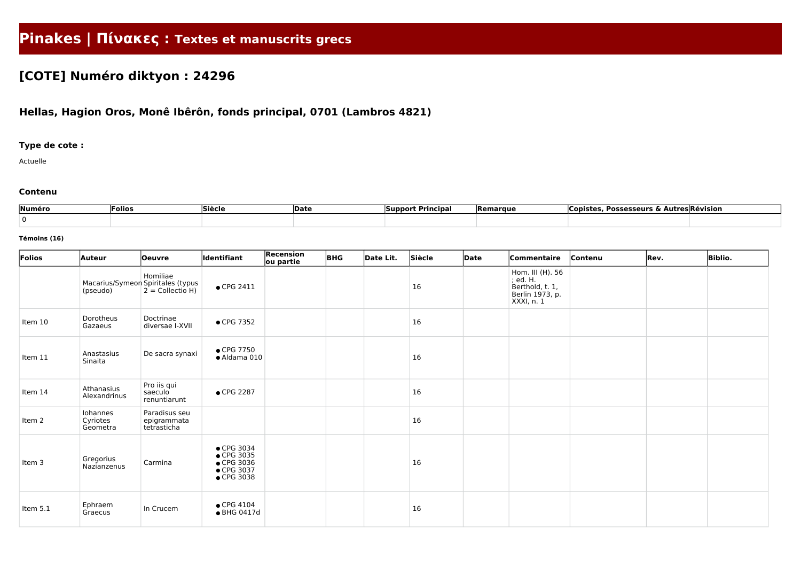# **Pinakes | Πίνακες : Textes et manuscrits grecs**

# **[COTE] Numéro diktyon : 24296**

## **Hellas, Hagion Oros, Monê Ibêrôn, fonds principal, 0701 (Lambros 4821)**

### **Type de cote :**

Actuelle

#### **Contenu**

| Numéro | Folios | Siècle | <b>Date</b> | <b>Support Principal</b> | Remarque | . Possesseurs & Ai<br> Copistes | . Autres Révision |
|--------|--------|--------|-------------|--------------------------|----------|---------------------------------|-------------------|
|        |        |        |             |                          |          |                                 |                   |

#### **Témoins (16)**

| Folios   | <b>Auteur</b>                                 | <b>Oeuvre</b>                               | ldentifiant                                                                | Recension<br>ou partie | <b>BHG</b> | Date Lit. | Siècle | Date | Commentaire                                                                      | Contenu | Rev. | <b>Biblio.</b> |
|----------|-----------------------------------------------|---------------------------------------------|----------------------------------------------------------------------------|------------------------|------------|-----------|--------|------|----------------------------------------------------------------------------------|---------|------|----------------|
|          | Macarius/Symeon Spiritales (typus<br>(pseudo) | Homiliae<br>$2 =$ Collectio H)              | $\bullet$ CPG 2411                                                         |                        |            |           | 16     |      | Hom. III (H). 56<br>; ed. H.<br>Berthold, t. 1,<br>Berlin 1973, p.<br>XXXI, n. 1 |         |      |                |
| Item 10  | Dorotheus<br>Gazaeus                          | Doctrinae<br>diversae I-XVII                | • CPG 7352                                                                 |                        |            |           | 16     |      |                                                                                  |         |      |                |
| Item 11  | Anastasius<br>Sinaita                         | De sacra synaxi                             | $\bullet$ CPG 7750<br>· Aldama 010                                         |                        |            |           | 16     |      |                                                                                  |         |      |                |
| Item 14  | Athanasius<br>Alexandrinus                    | Pro iis qui<br>saeculo<br>renuntiarunt      | ● CPG 2287                                                                 |                        |            |           | 16     |      |                                                                                  |         |      |                |
| Item 2   | Iohannes<br>Cyriotes<br>Geometra              | Paradisus seu<br>epigrammata<br>tetrasticha |                                                                            |                        |            |           | 16     |      |                                                                                  |         |      |                |
| Item 3   | Gregorius<br>Nazianzenus                      | Carmina                                     | $\bullet$ CPG 3034<br>● CPG 3035<br>● CPG 3036<br>• CPG 3037<br>• CPG 3038 |                        |            |           | 16     |      |                                                                                  |         |      |                |
| Item 5.1 | Ephraem<br>Graecus                            | In Crucem                                   | $\bullet$ CPG 4104<br>• BHG 0417d                                          |                        |            |           | 16     |      |                                                                                  |         |      |                |